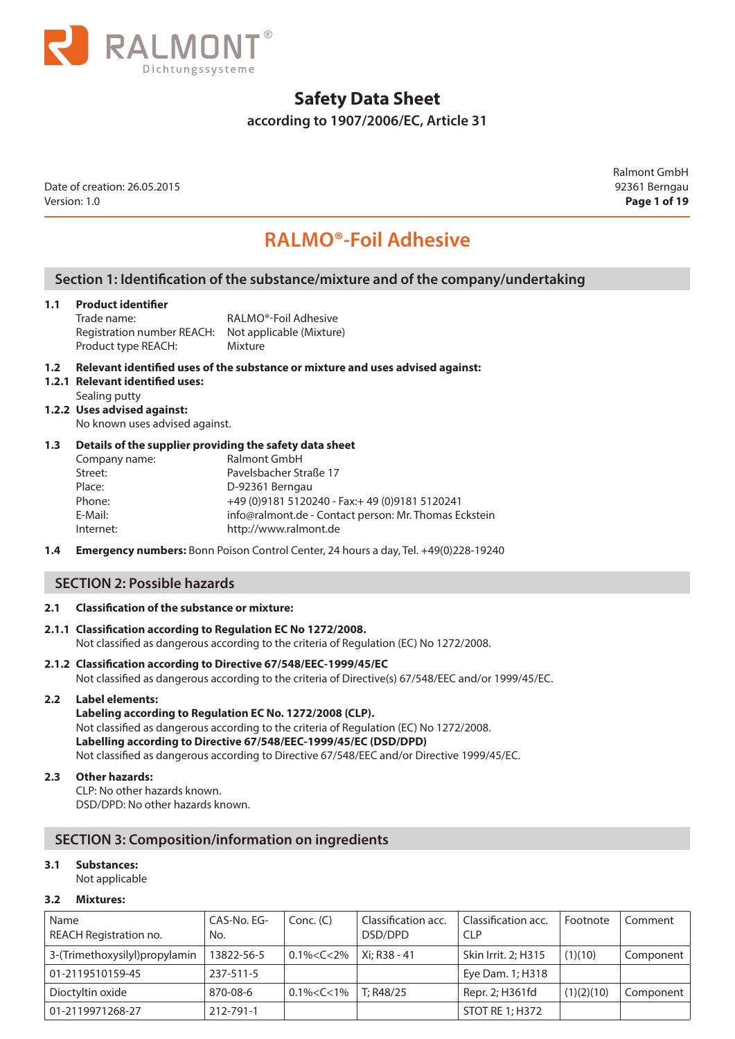

**according to 1907/2006/EC, Article 31** 

Date of creation: 26.05.2015 92361 Berngau Version: 1.0 **Page 1 of 19**

Ralmont GmbH

# **RALMO®-Foil Adhesive**

### **Section 1: Identification of the substance/mixture and of the company/undertaking**

#### **1.1 Product identifier**

Trade name: RALMO®-Foil Adhesive Registration number REACH: Not applicable (Mixture) Product type REACH: Mixture

#### **1.2 Relevant identified uses of the substance or mixture and uses advised against:**

- **1.2.1 Relevant identified uses:**
	- Sealing putty
- **1.2.2 Uses advised against:**

No known uses advised against.

#### **1.3 Details of the supplier providing the safety data sheet**

| Company name: | Ralmont GmbH                                          |
|---------------|-------------------------------------------------------|
| Street:       | Pavelsbacher Straße 17                                |
| Place:        | D-92361 Berngau                                       |
| Phone:        | +49 (0) 9181 5120240 - Fax: + 49 (0) 9181 5120241     |
| E-Mail:       | info@ralmont.de - Contact person: Mr. Thomas Eckstein |
| Internet:     | http://www.ralmont.de                                 |
|               |                                                       |

**1.4 Emergency numbers:** Bonn Poison Control Center, 24 hours a day, Tel. +49(0)228-19240

#### **SECTION 2: Possible hazards**

#### **2.1 Classification of the substance or mixture:**

#### **2.1.1 Classification according to Regulation EC No 1272/2008.** Not classified as dangerous according to the criteria of Regulation (EC) No 1272/2008.

#### **2.1.2 Classification according to Directive 67/548/EEC-1999/45/EC** Not classified as dangerous according to the criteria of Directive(s) 67/548/EEC and/or 1999/45/EC.

#### **2.2 Label elements:**

**Labeling according to Regulation EC No. 1272/2008 (CLP).** Not classified as dangerous according to the criteria of Regulation (EC) No 1272/2008. **Labelling according to Directive 67/548/EEC-1999/45/EC (DSD/DPD)** Not classified as dangerous according to Directive 67/548/EEC and/or Directive 1999/45/EC.

#### **2.3 Other hazards:**

CLP: No other hazards known. DSD/DPD: No other hazards known.

#### **SECTION 3: Composition/information on ingredients**

#### **3.1 Substances:**

Not applicable

#### **3.2 Mixtures:**

| Name<br>REACH Registration no. | CAS-No. EG-<br>No. | Conc. (C)         | Classification acc.<br>DSD/DPD | Classification acc.<br><b>CLP</b> | Footnote   | Comment   |
|--------------------------------|--------------------|-------------------|--------------------------------|-----------------------------------|------------|-----------|
| 3-(Trimethoxysilyl)propylamin  | 13822-56-5         | $0.1\% < C < 2\%$ | Xi: R38 - 41                   | Skin Irrit. 2; H315               | (1)(10)    | Component |
| 01-2119510159-45               | 237-511-5          |                   |                                | Eye Dam. 1; H318                  |            |           |
| Dioctyltin oxide               | 870-08-6           | $0.1\% < C < 1\%$ | T: R48/25                      | Repr. 2; H361fd                   | (1)(2)(10) | Component |
| 01-2119971268-27               | 212-791-1          |                   |                                | STOT RE 1; H372                   |            |           |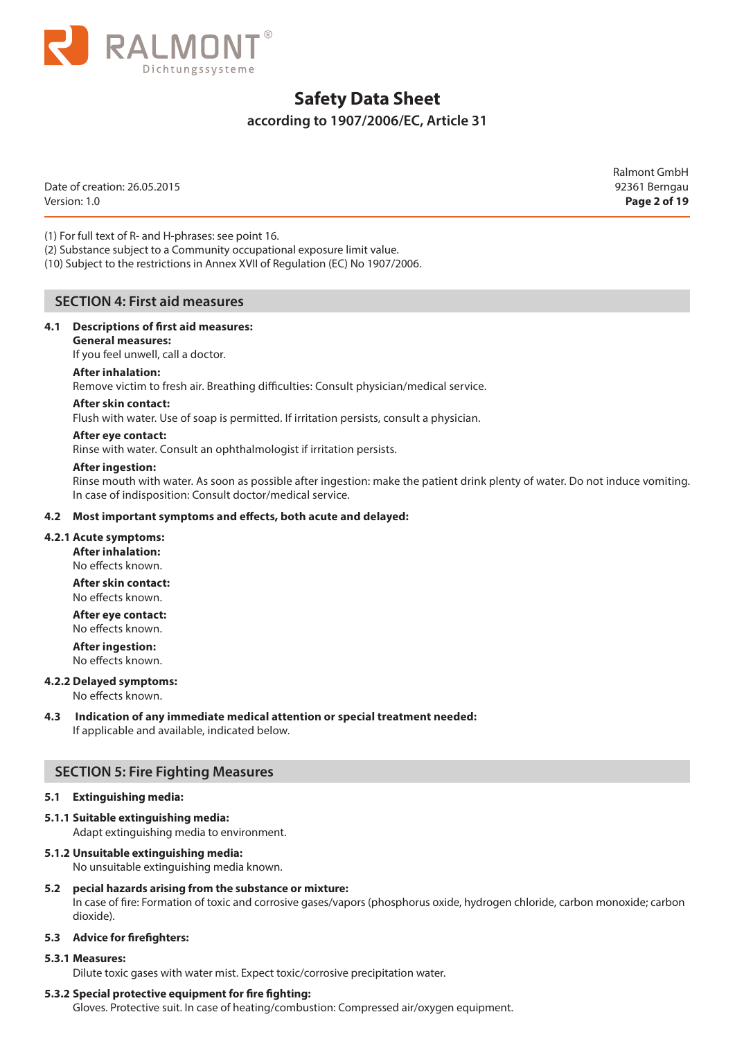

### **according to 1907/2006/EC, Article 31**

Date of creation: 26.05.2015 92361 Berngau Version: 1.0 **Page 2 of 19**

Ralmont GmbH

(1) For full text of R- and H-phrases: see point 16.

(2) Substance subject to a Community occupational exposure limit value.

(10) Subject to the restrictions in Annex XVII of Regulation (EC) No 1907/2006.

#### **SECTION 4: First aid measures**

#### **4.1 Descriptions of first aid measures:**

**General measures:** 

If you feel unwell, call a doctor.

#### **After inhalation:**

Remove victim to fresh air. Breathing difficulties: Consult physician/medical service.

#### **After skin contact:**

Flush with water. Use of soap is permitted. If irritation persists, consult a physician.

#### **After eye contact:**

Rinse with water. Consult an ophthalmologist if irritation persists.

#### **After ingestion:**

Rinse mouth with water. As soon as possible after ingestion: make the patient drink plenty of water. Do not induce vomiting. In case of indisposition: Consult doctor/medical service.

#### **4.2 Most important symptoms and effects, both acute and delayed:**

#### **4.2.1 Acute symptoms:**

**After inhalation:** 

No effects known.

**After skin contact:**  No effects known.

**After eye contact:**  No effects known.

**After ingestion:** 

No effects known.

#### **4.2.2 Delayed symptoms:**

No effects known.

#### **4.3 Indication of any immediate medical attention or special treatment needed:**  If applicable and available, indicated below.

#### **SECTION 5: Fire Fighting Measures**

#### **5.1 Extinguishing media:**

**5.1.1 Suitable extinguishing media:** 

Adapt extinguishing media to environment.

## **5.1.2 Unsuitable extinguishing media:**

No unsuitable extinguishing media known.

**5.2 pecial hazards arising from the substance or mixture:** 

In case of fire: Formation of toxic and corrosive gases/vapors (phosphorus oxide, hydrogen chloride, carbon monoxide; carbon dioxide).

#### **5.3 Advice for firefighters:**

#### **5.3.1 Measures:**

Dilute toxic gases with water mist. Expect toxic/corrosive precipitation water.

#### **5.3.2 Special protective equipment for fire fighting:**

Gloves. Protective suit. In case of heating/combustion: Compressed air/oxygen equipment.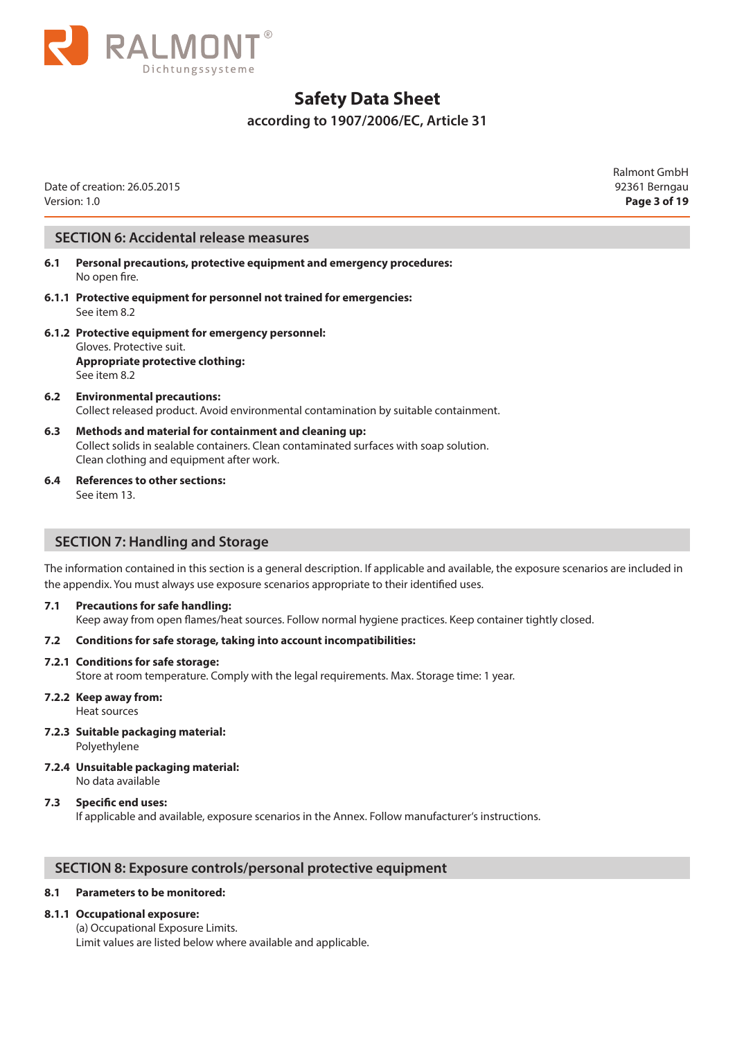

### **according to 1907/2006/EC, Article 31**

Date of creation: 26.05.2015 92361 Berngau Version: 1.0 **Page 3 of 19**

Ralmont GmbH

#### **SECTION 6: Accidental release measures**

- **6.1 Personal precautions, protective equipment and emergency procedures:**  No open fire.
- **6.1.1 Protective equipment for personnel not trained for emergencies:**  See item 8.2
- **6.1.2 Protective equipment for emergency personnel:**  Gloves. Protective suit. **Appropriate protective clothing:**  See item 8.2
- **6.2 Environmental precautions:**  Collect released product. Avoid environmental contamination by suitable containment.
- **6.3 Methods and material for containment and cleaning up:**  Collect solids in sealable containers. Clean contaminated surfaces with soap solution. Clean clothing and equipment after work.
- **6.4 References to other sections:**  See item 13.

#### **SECTION 7: Handling and Storage**

The information contained in this section is a general description. If applicable and available, the exposure scenarios are included in the appendix. You must always use exposure scenarios appropriate to their identified uses.

- **7.1 Precautions for safe handling:** 
	- Keep away from open flames/heat sources. Follow normal hygiene practices. Keep container tightly closed.

#### **7.2 Conditions for safe storage, taking into account incompatibilities:**

#### **7.2.1 Conditions for safe storage:**

Store at room temperature. Comply with the legal requirements. Max. Storage time: 1 year.

#### **7.2.2 Keep away from:**

Heat sources

- **7.2.3 Suitable packaging material:**  Polyethylene
- **7.2.4 Unsuitable packaging material:**  No data available

#### **7.3 Specific end uses:**

If applicable and available, exposure scenarios in the Annex. Follow manufacturer's instructions.

#### **SECTION 8: Exposure controls/personal protective equipment**

#### **8.1 Parameters to be monitored:**

#### **8.1.1 Occupational exposure:**

(a) Occupational Exposure Limits. Limit values are listed below where available and applicable.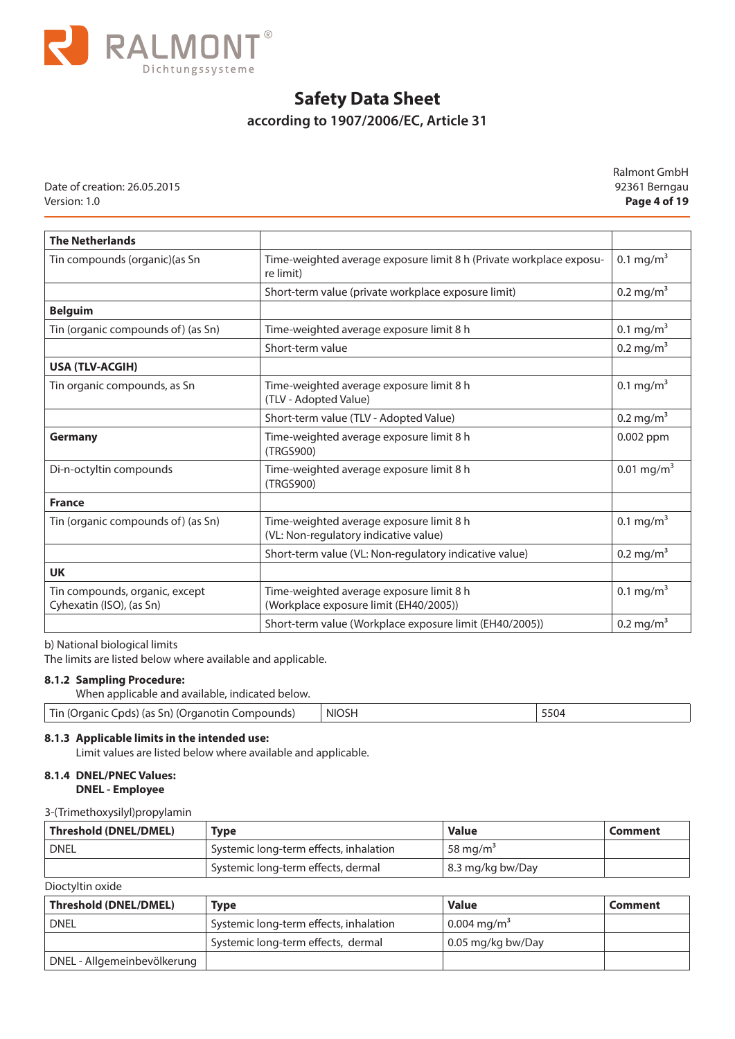

## **according to 1907/2006/EC, Article 31**

Date of creation: 26.05.2015 92361 Berngau Version: 1.0 **Page 4 of 19**

Ralmont GmbH

| <b>The Netherlands</b>                                     |                                                                                    |                          |
|------------------------------------------------------------|------------------------------------------------------------------------------------|--------------------------|
| Tin compounds (organic) (as Sn                             | Time-weighted average exposure limit 8 h (Private workplace exposu-<br>re limit)   | 0.1 mg/m <sup>3</sup>    |
|                                                            | Short-term value (private workplace exposure limit)                                | $0.2 \,\mathrm{mg/m}^3$  |
| <b>Belguim</b>                                             |                                                                                    |                          |
| Tin (organic compounds of) (as Sn)                         | Time-weighted average exposure limit 8 h                                           | 0.1 mg/m <sup>3</sup>    |
|                                                            | Short-term value                                                                   | $0.2 \,\mathrm{mg/m}^3$  |
| <b>USA (TLV-ACGIH)</b>                                     |                                                                                    |                          |
| Tin organic compounds, as Sn                               | Time-weighted average exposure limit 8 h<br>(TLV - Adopted Value)                  | 0.1 mg/m <sup>3</sup>    |
|                                                            | Short-term value (TLV - Adopted Value)                                             | $0.2 \text{ mg/m}^3$     |
| <b>Germany</b>                                             | Time-weighted average exposure limit 8 h<br>(TRGS900)                              | 0.002 ppm                |
| Di-n-octyltin compounds                                    | Time-weighted average exposure limit 8 h<br>(TRGS900)                              | $0.01$ mg/m <sup>3</sup> |
| <b>France</b>                                              |                                                                                    |                          |
| Tin (organic compounds of) (as Sn)                         | Time-weighted average exposure limit 8 h<br>(VL: Non-regulatory indicative value)  | $0.1 \text{ mg/m}^3$     |
|                                                            | Short-term value (VL: Non-regulatory indicative value)                             | $0.2$ mg/m <sup>3</sup>  |
| <b>UK</b>                                                  |                                                                                    |                          |
| Tin compounds, organic, except<br>Cyhexatin (ISO), (as Sn) | Time-weighted average exposure limit 8 h<br>(Workplace exposure limit (EH40/2005)) | 0.1 mg/m <sup>3</sup>    |
|                                                            | Short-term value (Workplace exposure limit (EH40/2005))                            | $0.2 \,\mathrm{mg/m}^3$  |

b) National biological limits

The limits are listed below where available and applicable.

#### **8.1.2 Sampling Procedure:**

When applicable and available, indicated below.

| Tin<br>Compounds)<br>: Cpds) (as Sn) (Organotin (<br>lOrganic | <b>NIOSH</b> | 5504 |
|---------------------------------------------------------------|--------------|------|
|---------------------------------------------------------------|--------------|------|

### **8.1.3 Applicable limits in the intended use:**

Limit values are listed below where available and applicable.

#### **8.1.4 DNEL/PNEC Values: DNEL - Employee**

#### 3-(Trimethoxysilyl)propylamin

| Threshold (DNEL/DMEL)<br><b>Type</b> |                                        | <b>Value</b>         | Comment |
|--------------------------------------|----------------------------------------|----------------------|---------|
| <b>DNEL</b>                          | Systemic long-term effects, inhalation | 58 mg/m <sup>3</sup> |         |
|                                      | Systemic long-term effects, dermal     | 8.3 mg/kg bw/Day     |         |

Dioctyltin oxide

| <b>Threshold (DNEL/DMEL)</b> | <b>Type</b>                            | <b>Value</b>              | Comment |
|------------------------------|----------------------------------------|---------------------------|---------|
| <b>DNEL</b>                  | Systemic long-term effects, inhalation | $0.004 \,\mathrm{mg/m}^3$ |         |
|                              | Systemic long-term effects, dermal     | 0.05 mg/kg bw/Day         |         |
| DNEL - Allgemeinbevölkerung  |                                        |                           |         |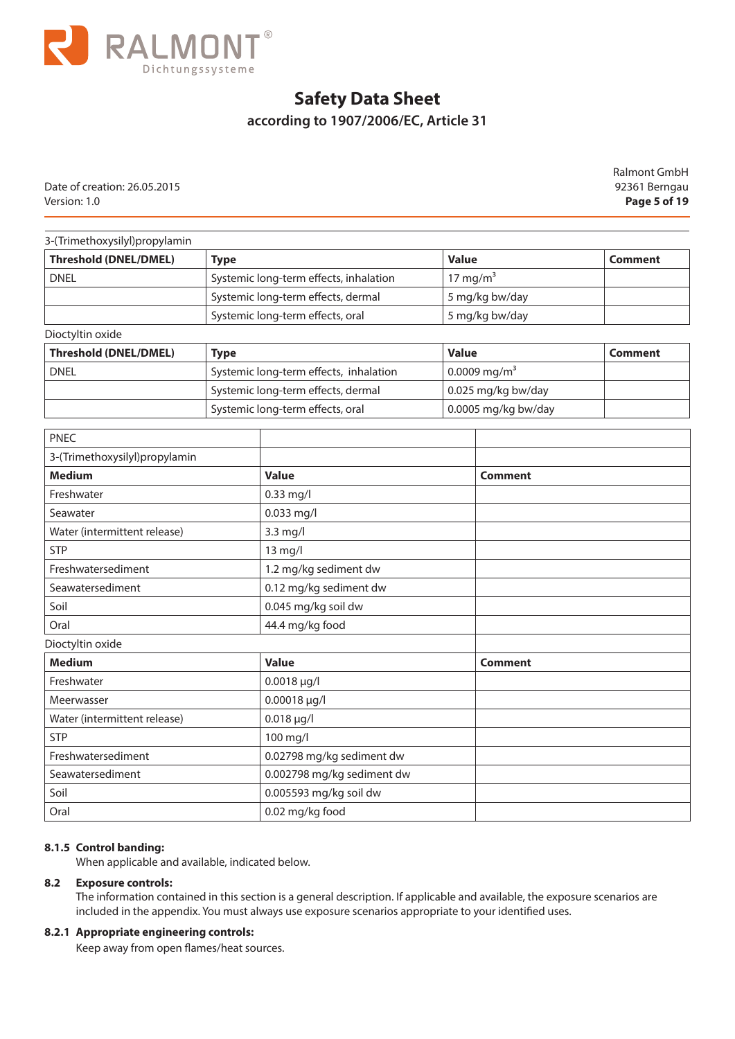

## **according to 1907/2006/EC, Article 31**

Date of creation: 26.05.2015 92361 Berngau Version: 1.0 **Page 5 of 19**

Ralmont GmbH

#### 3-(Trimethoxysilyl)propylamin

| <b>Threshold (DNEL/DMEL)</b> | <b>Type</b>                            | <b>Value</b>         | Comment |
|------------------------------|----------------------------------------|----------------------|---------|
| <b>DNEL</b>                  | Systemic long-term effects, inhalation | 17 mg/m <sup>3</sup> |         |
|                              | Systemic long-term effects, dermal     | 5 mg/kg bw/day       |         |
|                              | Systemic long-term effects, oral       | 5 mg/kg bw/day       |         |
| Dioctyltin oxide             |                                        |                      |         |

| 5.00                         |                                        |                          |         |  |  |
|------------------------------|----------------------------------------|--------------------------|---------|--|--|
| <b>Threshold (DNEL/DMEL)</b> | <b>Type</b>                            | <b>Value</b>             | Comment |  |  |
| <b>DNEL</b>                  | Systemic long-term effects, inhalation | 0.0009 mg/m <sup>3</sup> |         |  |  |
|                              | Systemic long-term effects, dermal     | 0.025 mg/kg bw/day       |         |  |  |
|                              | Systemic long-term effects, oral       | 0.0005 mg/kg bw/day      |         |  |  |

| <b>PNEC</b>                   |                            |                |
|-------------------------------|----------------------------|----------------|
| 3-(Trimethoxysilyl)propylamin |                            |                |
| <b>Medium</b>                 | <b>Value</b>               | <b>Comment</b> |
| Freshwater                    | $0.33$ mg/l                |                |
| Seawater                      | $0.033$ mg/l               |                |
| Water (intermittent release)  | 3.3 mg/l                   |                |
| <b>STP</b>                    | 13 mg/l                    |                |
| Freshwatersediment            | 1.2 mg/kg sediment dw      |                |
| Seawatersediment              | 0.12 mg/kg sediment dw     |                |
| Soil                          | 0.045 mg/kg soil dw        |                |
| Oral                          | 44.4 mg/kg food            |                |
| Dioctyltin oxide              |                            |                |
| <b>Medium</b>                 | <b>Value</b>               | <b>Comment</b> |
| Freshwater                    | $0.0018 \mu g/l$           |                |
| Meerwasser                    | 0.00018 µg/l               |                |
| Water (intermittent release)  | $0.018 \mu g/l$            |                |
| <b>STP</b>                    | 100 mg/l                   |                |
| Freshwatersediment            | 0.02798 mg/kg sediment dw  |                |
| Seawatersediment              | 0.002798 mg/kg sediment dw |                |
| Soil                          | 0.005593 mg/kg soil dw     |                |
| Oral                          | 0.02 mg/kg food            |                |

#### **8.1.5 Control banding:**

When applicable and available, indicated below.

#### **8.2 Exposure controls:**

The information contained in this section is a general description. If applicable and available, the exposure scenarios are included in the appendix. You must always use exposure scenarios appropriate to your identified uses.

#### **8.2.1 Appropriate engineering controls:**

Keep away from open flames/heat sources.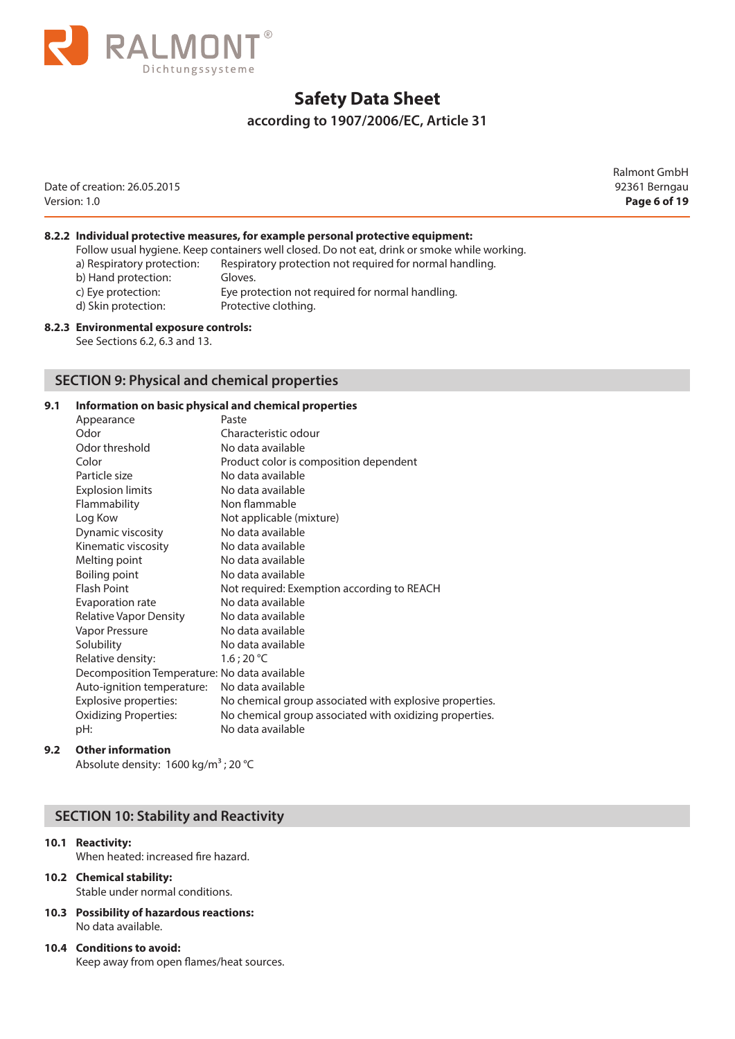

### **according to 1907/2006/EC, Article 31**

Date of creation: 26.05.2015 92361 Berngau Version: 1.0 **Page 6 of 19**

Ralmont GmbH

#### **8.2.2 Individual protective measures, for example personal protective equipment:**

|                            | Follow usual hygiene. Keep containers well closed. Do not eat, drink or smoke while working. |
|----------------------------|----------------------------------------------------------------------------------------------|
| a) Respiratory protection: | Respiratory protection not required for normal handling.                                     |
| b) Hand protection:        | Gloves.                                                                                      |
| c) Eye protection:         | Eye protection not required for normal handling.                                             |
| d) Skin protection:        | Protective clothing.                                                                         |
|                            |                                                                                              |

#### **8.2.3 Environmental exposure controls:**

See Sections 6.2, 6.3 and 13.

#### **SECTION 9: Physical and chemical properties**

#### **9.1 Information on basic physical and chemical properties**

| Appearance                                   | Paste                                                   |
|----------------------------------------------|---------------------------------------------------------|
| Odor                                         | Characteristic odour                                    |
| Odor threshold                               | No data available                                       |
| Color                                        | Product color is composition dependent                  |
| Particle size                                | No data available                                       |
| <b>Explosion limits</b>                      | No data available                                       |
| Flammability                                 | Non flammable                                           |
| Log Kow                                      | Not applicable (mixture)                                |
| Dynamic viscosity                            | No data available                                       |
| Kinematic viscosity                          | No data available                                       |
| Melting point                                | No data available                                       |
| Boiling point                                | No data available                                       |
| <b>Flash Point</b>                           | Not required: Exemption according to REACH              |
| Evaporation rate                             | No data available                                       |
| Relative Vapor Density                       | No data available                                       |
| Vapor Pressure                               | No data available                                       |
| Solubility                                   | No data available                                       |
| Relative density:                            | 1.6:20 °C                                               |
| Decomposition Temperature: No data available |                                                         |
| Auto-ignition temperature:                   | No data available                                       |
| Explosive properties:                        | No chemical group associated with explosive properties. |
| Oxidizing Properties:                        | No chemical group associated with oxidizing properties. |
| pH:                                          | No data available                                       |
|                                              |                                                         |

#### **9.2 Other information**

Absolute density: 1600 kg/m<sup>3</sup> ; 20 °C

### **SECTION 10: Stability and Reactivity**

#### **10.1 Reactivity:**

When heated: increased fire hazard.

- **10.2 Chemical stability:**  Stable under normal conditions.
- **10.3 Possibility of hazardous reactions:**  No data available.
- **10.4 Conditions to avoid:**  Keep away from open flames/heat sources.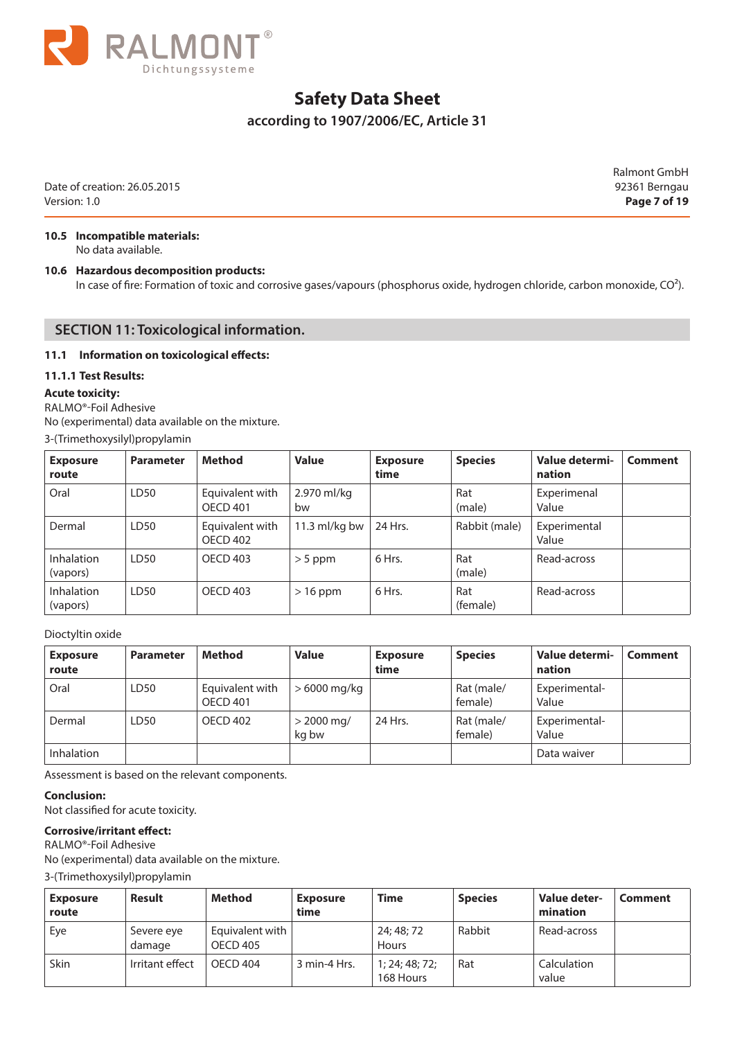

### **according to 1907/2006/EC, Article 31**

Date of creation: 26.05.2015 92361 Berngau Version: 1.0 **Page 7 of 19**

Ralmont GmbH

## **10.5 Incompatible materials:**

No data available.

#### **10.6 Hazardous decomposition products:**

In case of fire: Formation of toxic and corrosive gases/vapours (phosphorus oxide, hydrogen chloride, carbon monoxide, CO<sup>2</sup>).

#### **SECTION 11: Toxicological information.**

#### **11.1 Information on toxicological effects:**

#### **11.1.1 Test Results:**

#### **Acute toxicity:**

RALMO®-Foil Adhesive

No (experimental) data available on the mixture.

3-(Trimethoxysilyl)propylamin

| <b>Exposure</b><br>route      | <b>Parameter</b> | <b>Method</b>                      | <b>Value</b>      | <b>Exposure</b><br>time | <b>Species</b>  | Value determi-<br>nation | Comment |
|-------------------------------|------------------|------------------------------------|-------------------|-------------------------|-----------------|--------------------------|---------|
| Oral                          | LD <sub>50</sub> | Equivalent with<br><b>OECD 401</b> | 2.970 ml/kg<br>bw |                         | Rat<br>(male)   | Experimenal<br>Value     |         |
| Dermal                        | LD50             | Equivalent with<br><b>OECD 402</b> | 11.3 $ml/kg$ bw   | 24 Hrs.                 | Rabbit (male)   | Experimental<br>Value    |         |
| <b>Inhalation</b><br>(vapors) | LD <sub>50</sub> | <b>OECD 403</b>                    | $>$ 5 ppm         | 6 Hrs.                  | Rat<br>(male)   | Read-across              |         |
| <b>Inhalation</b><br>(vapors) | LD <sub>50</sub> | OECD 403                           | $>16$ ppm         | 6 Hrs.                  | Rat<br>(female) | Read-across              |         |

#### Dioctyltin oxide

| <b>Exposure</b><br>route | <b>Parameter</b> | <b>Method</b>                      | <b>Value</b>          | <b>Exposure</b><br>time | <b>Species</b>        | Value determi-<br>nation | Comment |
|--------------------------|------------------|------------------------------------|-----------------------|-------------------------|-----------------------|--------------------------|---------|
| Oral                     | LD50             | Equivalent with<br><b>OECD 401</b> | $>6000$ mg/kg         |                         | Rat (male/<br>female) | Experimental-<br>Value   |         |
| Dermal                   | LD50             | OECD 402                           | $> 2000$ mg/<br>ka bw | 24 Hrs.                 | Rat (male/<br>female) | Experimental-<br>Value   |         |
| Inhalation               |                  |                                    |                       |                         |                       | Data waiver              |         |

Assessment is based on the relevant components.

#### **Conclusion:**

Not classified for acute toxicity.

#### **Corrosive/irritant effect:**

RALMO®-Foil Adhesive No (experimental) data available on the mixture.

3-(Trimethoxysilyl)propylamin

| <b>Exposure</b><br>route | <b>Result</b>        | Method                      | <b>Exposure</b><br>time | <b>Time</b>                 | <b>Species</b> | Value deter-<br>mination | <b>Comment</b> |
|--------------------------|----------------------|-----------------------------|-------------------------|-----------------------------|----------------|--------------------------|----------------|
| Eye                      | Severe eye<br>damage | Equivalent with<br>OECD 405 |                         | 24; 48; 72<br>Hours         | Rabbit         | Read-across              |                |
| Skin                     | Irritant effect      | OFCD 404                    | 3 min-4 Hrs.            | 1; 24; 48; 72;<br>168 Hours | Rat            | Calculation<br>value     |                |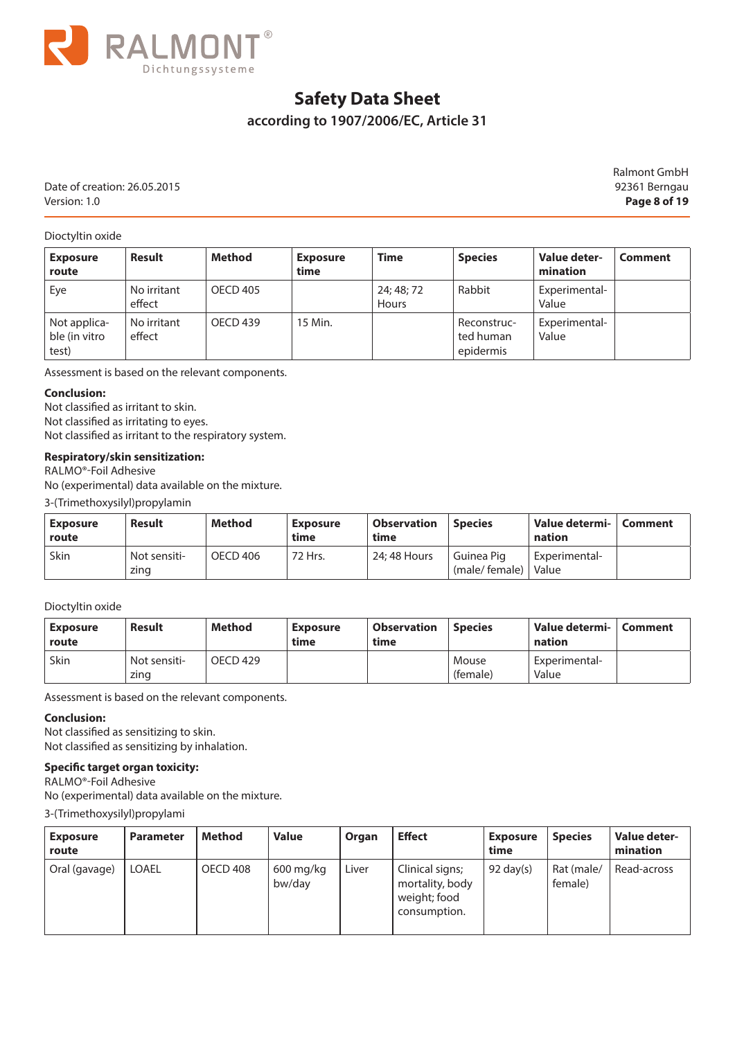

## **according to 1907/2006/EC, Article 31**

Date of creation: 26.05.2015 92361 Berngau Version: 1.0 **Page 8 of 19**

Ralmont GmbH

Dioctyltin oxide

| <b>Exposure</b><br>route               | <b>Result</b>         | <b>Method</b>   | <b>Exposure</b><br>time | <b>Time</b>         | <b>Species</b>                        | Value deter-<br>mination | Comment |
|----------------------------------------|-----------------------|-----------------|-------------------------|---------------------|---------------------------------------|--------------------------|---------|
| Eye                                    | No irritant<br>effect | <b>OECD 405</b> |                         | 24; 48; 72<br>Hours | Rabbit                                | Experimental-<br>Value   |         |
| Not applica-<br>ble (in vitro<br>test) | No irritant<br>effect | OECD 439        | 15 Min.                 |                     | Reconstruc-<br>ted human<br>epidermis | Experimental-<br>Value   |         |

Assessment is based on the relevant components.

#### **Conclusion:**

Not classified as irritant to skin. Not classified as irritating to eyes. Not classified as irritant to the respiratory system.

#### **Respiratory/skin sensitization:**

RALMO®-Foil Adhesive

No (experimental) data available on the mixture.

3-(Trimethoxysilyl)propylamin

| Exposure<br>route | Result               | Method   | <b>Exposure</b><br>time | <b>Observation</b><br>time | <b>Species</b>                | Value determi-   Comment<br>nation |  |
|-------------------|----------------------|----------|-------------------------|----------------------------|-------------------------------|------------------------------------|--|
| Skin              | Not sensiti-<br>zing | OECD 406 | 72 Hrs.                 | 24: 48 Hours               | l Guinea Pig<br>(male/female) | Experimental-<br>Value             |  |

Dioctyltin oxide

| Exposure<br>route | Result                            | <b>Method</b> | Exposure<br>time | <b>Observation</b><br>time | <b>Species</b>    | Value determi-<br>nation | Comment |
|-------------------|-----------------------------------|---------------|------------------|----------------------------|-------------------|--------------------------|---------|
| Skin              | <sup>'</sup> Not sensiti-<br>zing | OECD 429      |                  |                            | Mouse<br>(female) | Experimental-<br>Value   |         |

Assessment is based on the relevant components.

#### **Conclusion:**

Not classified as sensitizing to skin. Not classified as sensitizing by inhalation.

#### **Specific target organ toxicity:**

RALMO®-Foil Adhesive No (experimental) data available on the mixture.

3-(Trimethoxysilyl)propylami

| <b>Exposure</b><br>route | <b>Parameter</b> | Method   | <b>Value</b>          | Organ | <b>Effect</b>                                                      | <b>Exposure</b><br>time | <b>Species</b>        | Value deter-<br>mination |
|--------------------------|------------------|----------|-----------------------|-------|--------------------------------------------------------------------|-------------------------|-----------------------|--------------------------|
| Oral (gavage)            | <b>LOAEL</b>     | OECD 408 | $600$ mg/kg<br>bw/day | Liver | Clinical signs;<br>mortality, body<br>weight; food<br>consumption. | $92 \text{ day}(s)$     | Rat (male/<br>female) | Read-across              |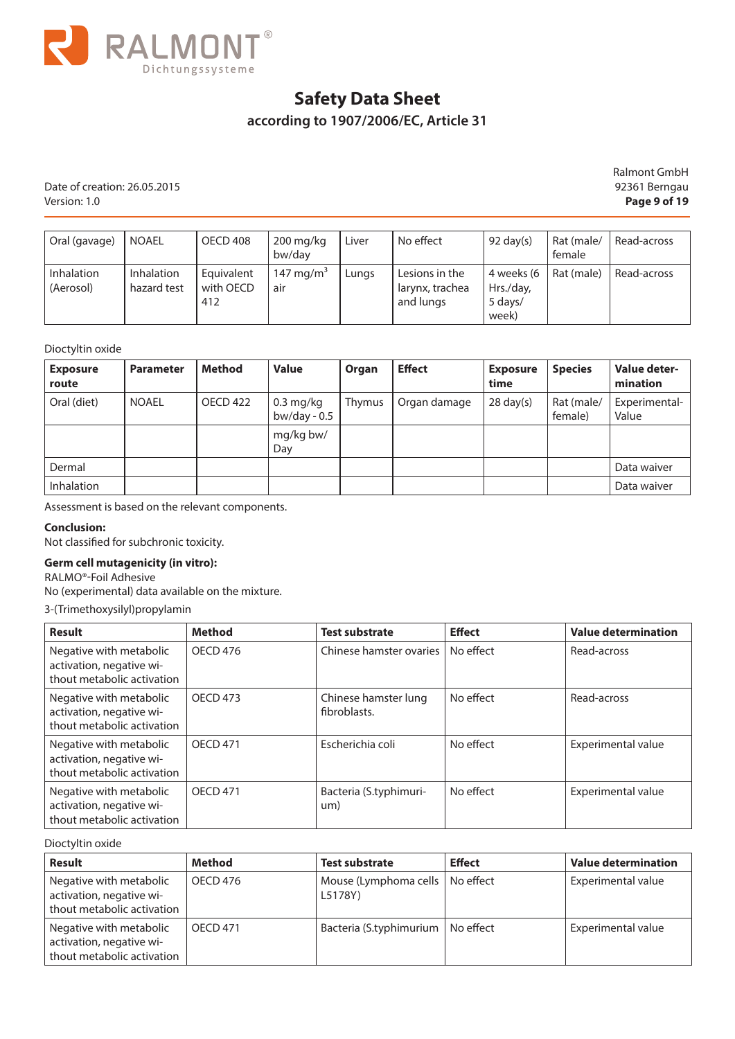

## **according to 1907/2006/EC, Article 31**

Date of creation: 26.05.2015 92361 Berngau Version: 1.0 **Page 9 of 19**

Ralmont GmbH

| Oral (gavage)           | l noael                   | OECD 408                       | $200 \,\mathrm{mq/kg}$<br>bw/dav | Liver | No effect                                      | 92 day $(s)$                                | Rat (male/<br>female | Read-across |
|-------------------------|---------------------------|--------------------------------|----------------------------------|-------|------------------------------------------------|---------------------------------------------|----------------------|-------------|
| Inhalation<br>(Aerosol) | Inhalation<br>hazard test | Equivalent<br>with OECD<br>412 | 147 mg/m <sup>3</sup><br>air     | Lungs | Lesions in the<br>larynx, trachea<br>and lungs | 4 weeks (6<br>Hrs./day,<br>5 days/<br>week) | Rat (male)           | Read-across |

#### Dioctyltin oxide

| <b>Exposure</b><br>route | <b>Parameter</b> | Method   | <b>Value</b>                             | Organ  | <b>Effect</b> | <b>Exposure</b><br>time | <b>Species</b>        | Value deter-<br>mination |
|--------------------------|------------------|----------|------------------------------------------|--------|---------------|-------------------------|-----------------------|--------------------------|
| Oral (diet)              | <b>NOAEL</b>     | OECD 422 | $0.3 \,\mathrm{mg/kg}$<br>bw/day - $0.5$ | Thymus | Organ damage  | $28 \text{ day}(s)$     | Rat (male/<br>female) | Experimental-<br>Value   |
|                          |                  |          | mg/kg bw/<br>Day                         |        |               |                         |                       |                          |
| Dermal                   |                  |          |                                          |        |               |                         |                       | Data waiver              |
| <b>Inhalation</b>        |                  |          |                                          |        |               |                         |                       | Data waiver              |

Assessment is based on the relevant components.

#### **Conclusion:**

Not classified for subchronic toxicity.

#### **Germ cell mutagenicity (in vitro):**

RALMO®-Foil Adhesive

No (experimental) data available on the mixture.

3-(Trimethoxysilyl)propylamin

| <b>Result</b>                                                                     | <b>Method</b>   | <b>Test substrate</b>                | <b>Effect</b> | <b>Value determination</b> |
|-----------------------------------------------------------------------------------|-----------------|--------------------------------------|---------------|----------------------------|
| Negative with metabolic<br>activation, negative wi-<br>thout metabolic activation | <b>OECD 476</b> | Chinese hamster ovaries              | No effect     | Read-across                |
| Negative with metabolic<br>activation, negative wi-<br>thout metabolic activation | <b>OECD 473</b> | Chinese hamster lung<br>fibroblasts. | No effect     | Read-across                |
| Negative with metabolic<br>activation, negative wi-<br>thout metabolic activation | <b>OECD 471</b> | Escherichia coli                     | No effect     | Experimental value         |
| Negative with metabolic<br>activation, negative wi-<br>thout metabolic activation | <b>OECD 471</b> | Bacteria (S.typhimuri-<br>um)        | No effect     | Experimental value         |

Dioctyltin oxide

| <b>Result</b>                                                                     | <b>Method</b>   | <b>Test substrate</b>              | <b>Effect</b> | <b>Value determination</b> |
|-----------------------------------------------------------------------------------|-----------------|------------------------------------|---------------|----------------------------|
| Negative with metabolic<br>activation, negative wi-<br>thout metabolic activation | OECD 476        | Mouse (Lymphoma cells  <br>L5178Y) | No effect     | Experimental value         |
| Negative with metabolic<br>activation, negative wi-<br>thout metabolic activation | <b>OECD 471</b> | Bacteria (S.typhimurium            | No effect     | Experimental value         |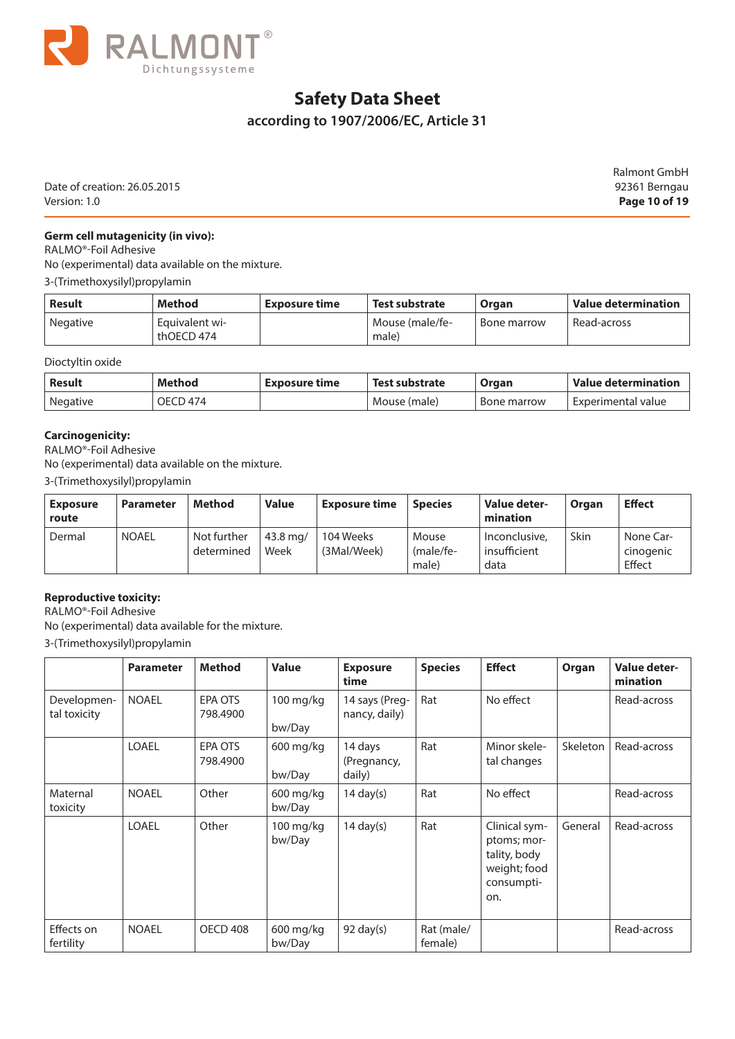

## **according to 1907/2006/EC, Article 31**

Date of creation: 26.05.2015 92361 Berngau Version: 1.0 **Page 10 of 19**

Ralmont GmbH

#### **Germ cell mutagenicity (in vivo):**

RALMO®-Foil Adhesive

No (experimental) data available on the mixture.

3-(Trimethoxysilyl)propylamin

| Result          | Method                       | Exposure time | Test substrate           | Organ       | $\blacksquare$ Value determination |
|-----------------|------------------------------|---------------|--------------------------|-------------|------------------------------------|
| <b>Negative</b> | Equivalent wi-<br>thOECD 474 |               | Mouse (male/fe-<br>male) | Bone marrow | Read-across                        |

Dioctyltin oxide

| Result          | Method   | ' Exposure time | Test substrate | Organ       | Value determination  |
|-----------------|----------|-----------------|----------------|-------------|----------------------|
| <b>Negative</b> | OECD 474 |                 | Mouse (male)   | Bone marrow | - Experimental value |

#### **Carcinogenicity:**

RALMO®-Foil Adhesive

No (experimental) data available on the mixture.

3-(Trimethoxysilyl)propylamin

| <b>Exposure</b><br>route | <b>Parameter</b> | Method                    | <b>Value</b>       | <b>Exposure time</b>     | <b>Species</b>                 | Value deter-<br>mination              | Organ | <b>Effect</b>                    |
|--------------------------|------------------|---------------------------|--------------------|--------------------------|--------------------------------|---------------------------------------|-------|----------------------------------|
| Dermal                   | <b>NOAEL</b>     | Not further<br>determined | $43.8$ ma/<br>Week | 104 Weeks<br>(3Mal/Week) | Mouse<br>$(male/fe-)$<br>male) | Inconclusive,<br>insufficient<br>data | Skin  | None Car-<br>cinogenic<br>Effect |

#### **Reproductive toxicity:**

RALMO®-Foil Adhesive No (experimental) data available for the mixture.

3-(Trimethoxysilyl)propylamin

|                             | <b>Parameter</b> | <b>Method</b>       | <b>Value</b>          | <b>Exposure</b><br>time          | <b>Species</b>        | <b>Effect</b>                                                                     | Organ    | Value deter-<br>mination |
|-----------------------------|------------------|---------------------|-----------------------|----------------------------------|-----------------------|-----------------------------------------------------------------------------------|----------|--------------------------|
| Developmen-<br>tal toxicity | <b>NOAEL</b>     | EPA OTS<br>798.4900 | $100$ mg/kg<br>bw/Day | 14 says (Preg-<br>nancy, daily)  | Rat                   | No effect                                                                         |          | Read-across              |
|                             | <b>LOAEL</b>     | EPA OTS<br>798.4900 | 600 mg/kg<br>bw/Day   | 14 days<br>(Pregnancy,<br>daily) | Rat                   | Minor skele-<br>tal changes                                                       | Skeleton | Read-across              |
| Maternal<br>toxicity        | <b>NOAEL</b>     | Other               | $600$ mg/kg<br>bw/Day | 14 day $(s)$                     | Rat                   | No effect                                                                         |          | Read-across              |
|                             | LOAEL            | Other               | 100 mg/kg<br>bw/Day   | $14 \text{ day}(s)$              | Rat                   | Clinical sym-<br>ptoms; mor-<br>tality, body<br>weight; food<br>consumpti-<br>on. | General  | Read-across              |
| Effects on<br>fertility     | <b>NOAEL</b>     | OECD 408            | $600$ mg/kg<br>bw/Day | $92 \text{ day}(s)$              | Rat (male/<br>female) |                                                                                   |          | Read-across              |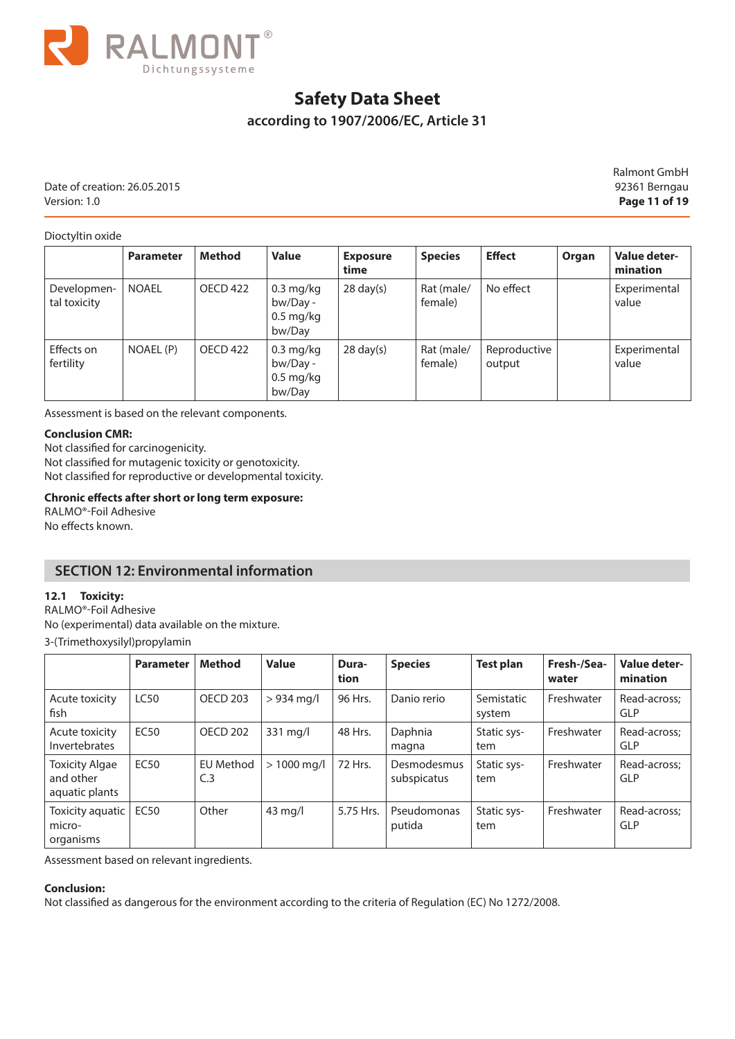

### **according to 1907/2006/EC, Article 31**

Date of creation: 26.05.2015 92361 Berngau Version: 1.0 **Page 11 of 19**

Ralmont GmbH

Dioctyltin oxide

|                             | <b>Parameter</b> | <b>Method</b>   | <b>Value</b>                                                        | <b>Exposure</b><br>time | <b>Species</b>        | <b>Effect</b>          | Organ | Value deter-<br>mination |
|-----------------------------|------------------|-----------------|---------------------------------------------------------------------|-------------------------|-----------------------|------------------------|-------|--------------------------|
| Developmen-<br>tal toxicity | <b>NOAEL</b>     | OECD 422        | $0.3 \text{ mg/kg}$<br>bw/Day -<br>$0.5 \text{ mg/kg}$<br>bw/Day    | $28 \text{ day}(s)$     | Rat (male/<br>female) | No effect              |       | Experimental<br>value    |
| Effects on<br>fertility     | NOAEL (P)        | <b>OECD 422</b> | $0.3 \text{ mg/kg}$<br>bw/Day -<br>$0.5 \,\mathrm{mg/kg}$<br>bw/Day | $28 \text{ day}(s)$     | Rat (male/<br>female) | Reproductive<br>output |       | Experimental<br>value    |

Assessment is based on the relevant components.

#### **Conclusion CMR:**

Not classified for carcinogenicity. Not classified for mutagenic toxicity or genotoxicity. Not classified for reproductive or developmental toxicity.

#### **Chronic effects after short or long term exposure:**

RALMO®-Foil Adhesive No effects known.

### **SECTION 12: Environmental information**

#### **12.1 Toxicity:**

RALMO®-Foil Adhesive No (experimental) data available on the mixture.

3-(Trimethoxysilyl)propylamin

|                                                      | <b>Parameter</b> | <b>Method</b>                      | <b>Value</b> | Dura-<br>tion | <b>Species</b>             | <b>Test plan</b>     | Fresh-/Sea-<br>water | Value deter-<br>mination   |
|------------------------------------------------------|------------------|------------------------------------|--------------|---------------|----------------------------|----------------------|----------------------|----------------------------|
| Acute toxicity<br>fish                               | <b>LC50</b>      | <b>OECD 203</b>                    | $> 934$ mg/l | 96 Hrs.       | Danio rerio                | Semistatic<br>system | Freshwater           | Read-across;<br><b>GLP</b> |
| Acute toxicity<br>Invertebrates                      | EC50             | <b>OECD 202</b>                    | $331$ mg/l   | 48 Hrs.       | Daphnia<br>magna           | Static sys-<br>tem   | Freshwater           | Read-across:<br><b>GLP</b> |
| <b>Toxicity Algae</b><br>and other<br>aquatic plants | <b>EC50</b>      | <b>EU Method</b><br>C <sub>3</sub> | $>1000$ mg/l | 72 Hrs.       | Desmodesmus<br>subspicatus | Static sys-<br>tem   | Freshwater           | Read-across;<br><b>GLP</b> |
| Toxicity aquatic  <br>micro-<br>organisms            | <b>EC50</b>      | Other                              | $43$ mg/l    | 5.75 Hrs.     | Pseudomonas<br>putida      | Static sys-<br>tem   | Freshwater           | Read-across:<br><b>GLP</b> |

Assessment based on relevant ingredients.

#### **Conclusion:**

Not classified as dangerous for the environment according to the criteria of Regulation (EC) No 1272/2008.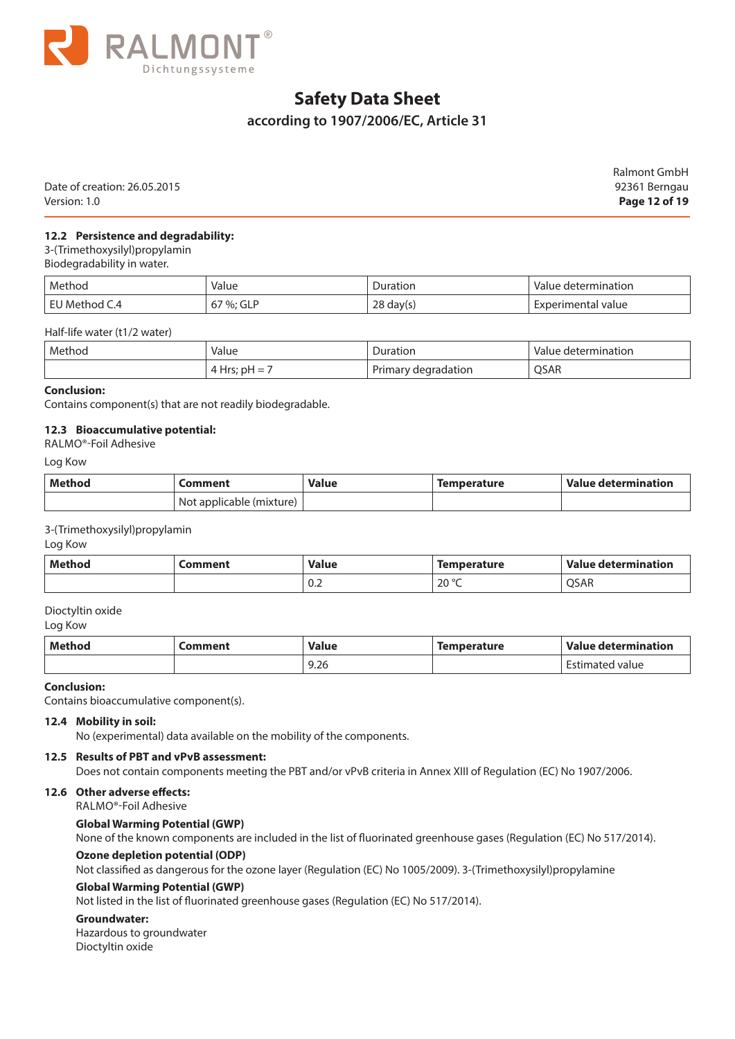

### **according to 1907/2006/EC, Article 31**

|                              | Ralmont GmbH  |
|------------------------------|---------------|
| Date of creation: 26.05.2015 | 92361 Berngau |
| Version: 1.0                 | Page 12 of 19 |

#### **12.2 Persistence and degradability:**

3-(Trimethoxysilyl)propylamin

Biodegradability in water.

| Method            | Value           | Duration          | Value determination |
|-------------------|-----------------|-------------------|---------------------|
| Method C.4<br>EL. | $%$ : GLP<br>v, | ിറ<br>day(s<br>∠∪ | Experimental value  |

Half-life water (t1/2 water)

| Method | Value                           | Juration                                        | determination |
|--------|---------------------------------|-------------------------------------------------|---------------|
|        | .                               | .                                               | -Valu         |
|        | معالجا<br>p⊢<br>-<br><b>TIL</b> | -<br>degradation<br><b>Dri</b><br>. rimarv<br>. | QSAR          |

#### **Conclusion:**

Contains component(s) that are not readily biodegradable.

#### **12.3 Bioaccumulative potential:**

#### RALMO®-Foil Adhesive

Log Kow

| Method | .omment                  | Value | Temperature | Value determination |
|--------|--------------------------|-------|-------------|---------------------|
|        | Not applicable (mixture) |       |             |                     |

3-(Trimethoxysilyl)propylamin

Log Kow

| Method | Comment | <b>Value</b> | <b>Temperature</b>  | Value determination |
|--------|---------|--------------|---------------------|---------------------|
|        |         | v.z          | $20^{\circ}$ C<br>∼ | <b>OSAR</b>         |

#### Dioctyltin oxide

Log Kow

| Method | .omment | Value | Temperature | Value determination |
|--------|---------|-------|-------------|---------------------|
|        |         | 9.26  |             | nated value         |

#### **Conclusion:**

Contains bioaccumulative component(s).

#### **12.4 Mobility in soil:**

No (experimental) data available on the mobility of the components.

#### **12.5 Results of PBT and vPvB assessment:**

Does not contain components meeting the PBT and/or vPvB criteria in Annex XIII of Regulation (EC) No 1907/2006.

#### **12.6 Other adverse effects:**

RALMO®-Foil Adhesive

#### **Global Warming Potential (GWP)**

None of the known components are included in the list of fluorinated greenhouse gases (Regulation (EC) No 517/2014).

#### **Ozone depletion potential (ODP)**

Not classified as dangerous for the ozone layer (Regulation (EC) No 1005/2009). 3-(Trimethoxysilyl)propylamine

#### **Global Warming Potential (GWP)**

Not listed in the list of fluorinated greenhouse gases (Regulation (EC) No 517/2014).

#### **Groundwater:**

Hazardous to groundwater Dioctyltin oxide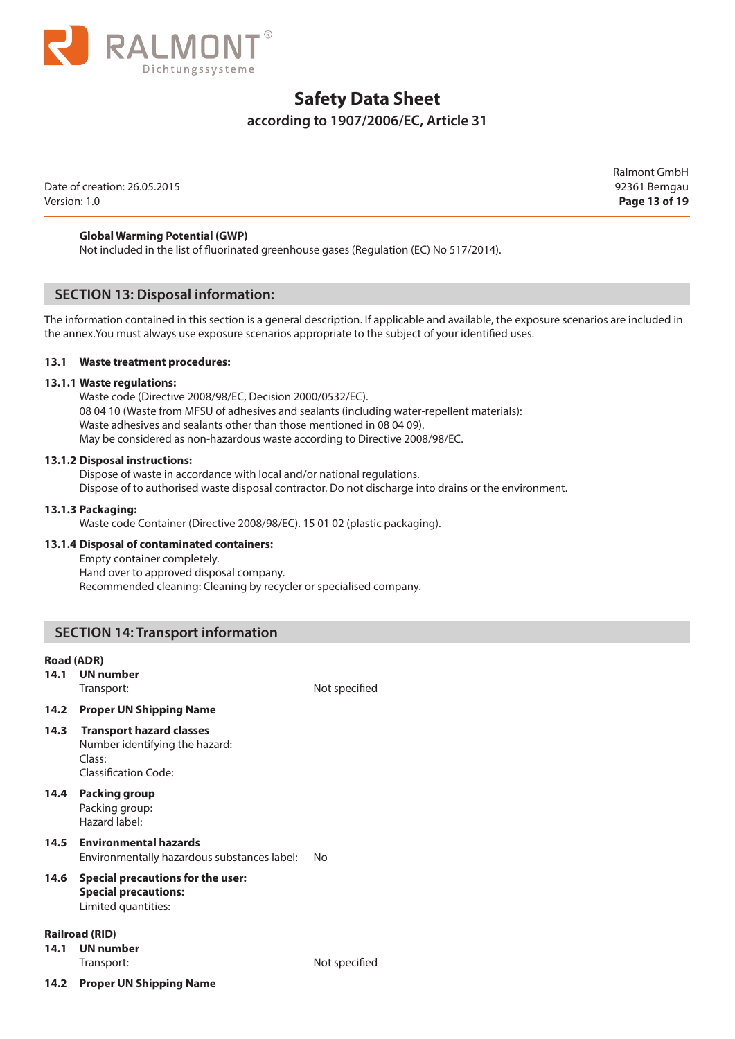

### **according to 1907/2006/EC, Article 31**

Date of creation: 26.05.2015 92361 Berngau Version: 1.0 **Page 13 of 19**

Ralmont GmbH

#### **Global Warming Potential (GWP)**

Not included in the list of fluorinated greenhouse gases (Regulation (EC) No 517/2014).

#### **SECTION 13: Disposal information:**

The information contained in this section is a general description. If applicable and available, the exposure scenarios are included in the annex.You must always use exposure scenarios appropriate to the subject of your identified uses.

#### **13.1 Waste treatment procedures:**

#### **13.1.1 Waste regulations:**

Waste code (Directive 2008/98/EC, Decision 2000/0532/EC). 08 04 10 (Waste from MFSU of adhesives and sealants (including water-repellent materials): Waste adhesives and sealants other than those mentioned in 08 04 09). May be considered as non-hazardous waste according to Directive 2008/98/EC.

#### **13.1.2 Disposal instructions:**

Dispose of waste in accordance with local and/or national regulations. Dispose of to authorised waste disposal contractor. Do not discharge into drains or the environment.

#### **13.1.3 Packaging:**

Waste code Container (Directive 2008/98/EC). 15 01 02 (plastic packaging).

#### **13.1.4 Disposal of contaminated containers:**

Empty container completely. Hand over to approved disposal company. Recommended cleaning: Cleaning by recycler or specialised company.

#### **SECTION 14: Transport information**

#### **Road (ADR)**

**14.1 UN number**

Transport: Not specified

#### **14.2 Proper UN Shipping Name**

- **14.3 Transport hazard classes**
	- Number identifying the hazard: Class: Classification Code:

### **14.4 Packing group**

Packing group: Hazard label:

## **14.5 Environmental hazards**

Environmentally hazardous substances label: No

### **14.6 Special precautions for the user: Special precautions:**

Limited quantities:

#### **Railroad (RID)**

**14.1 UN number**

**14.2 Proper UN Shipping Name**

Transport: Not specified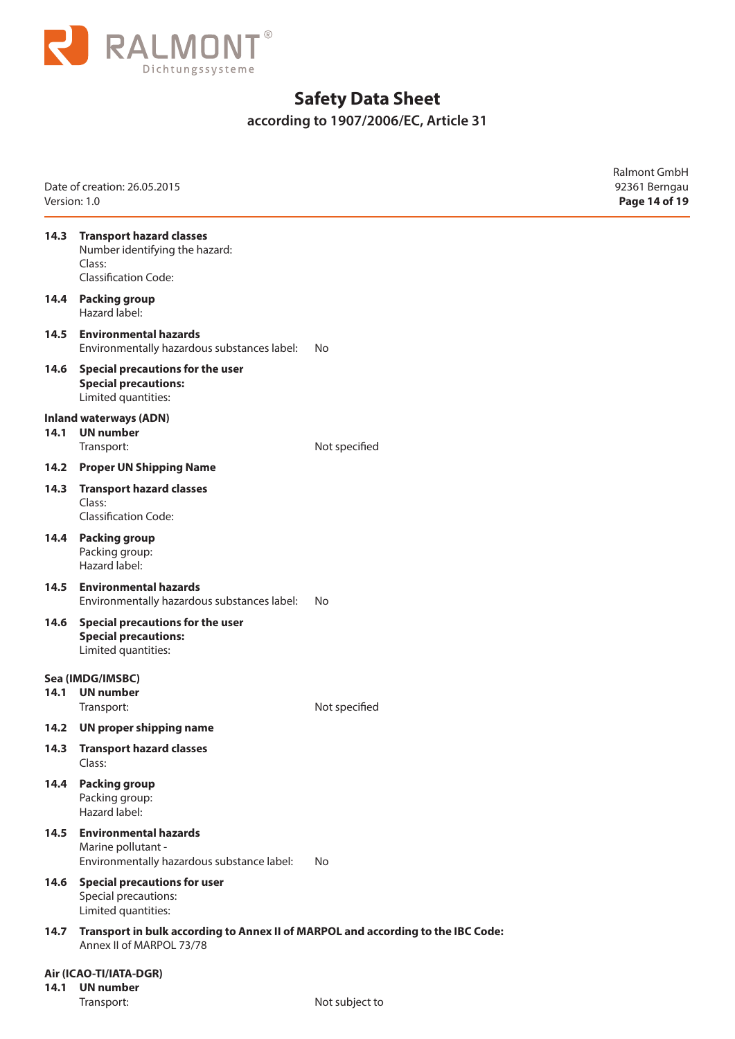

**according to 1907/2006/EC, Article 31** 

| Version: 1.0 | Date of creation: 26.05.2015                                                                                 |               | Ralmont GmbH<br>92361 Berngau<br>Page 14 of 19 |
|--------------|--------------------------------------------------------------------------------------------------------------|---------------|------------------------------------------------|
| 14.3         | <b>Transport hazard classes</b><br>Number identifying the hazard:<br>Class:<br><b>Classification Code:</b>   |               |                                                |
| 14.4         | <b>Packing group</b><br>Hazard label:                                                                        |               |                                                |
| 14.5         | <b>Environmental hazards</b><br>Environmentally hazardous substances label:                                  | No            |                                                |
| 14.6         | Special precautions for the user<br><b>Special precautions:</b><br>Limited quantities:                       |               |                                                |
| 14.1         | <b>Inland waterways (ADN)</b><br><b>UN</b> number<br>Transport:                                              | Not specified |                                                |
| 14.2         | <b>Proper UN Shipping Name</b>                                                                               |               |                                                |
| 14.3         | <b>Transport hazard classes</b><br>Class:<br><b>Classification Code:</b>                                     |               |                                                |
| 14.4         | <b>Packing group</b><br>Packing group:<br>Hazard label:                                                      |               |                                                |
| 14.5         | <b>Environmental hazards</b><br>Environmentally hazardous substances label:                                  | No            |                                                |
| 14.6         | Special precautions for the user<br><b>Special precautions:</b><br>Limited quantities:                       |               |                                                |
|              | Sea (IMDG/IMSBC)                                                                                             |               |                                                |
| 14.1         | <b>UN</b> number<br>Transport:                                                                               | Not specified |                                                |
| 14.2         | UN proper shipping name                                                                                      |               |                                                |
| 14.3         | <b>Transport hazard classes</b><br>Class:                                                                    |               |                                                |
| 14.4         | <b>Packing group</b><br>Packing group:<br>Hazard label:                                                      |               |                                                |
| 14.5         | <b>Environmental hazards</b><br>Marine pollutant -<br>Environmentally hazardous substance label:             | No            |                                                |
| 14.6         | <b>Special precautions for user</b><br>Special precautions:<br>Limited quantities:                           |               |                                                |
| 14.7         | Transport in bulk according to Annex II of MARPOL and according to the IBC Code:<br>Annex II of MARPOL 73/78 |               |                                                |
| 14.1         | Air (ICAO-TI/IATA-DGR)<br><b>UN</b> number                                                                   |               |                                                |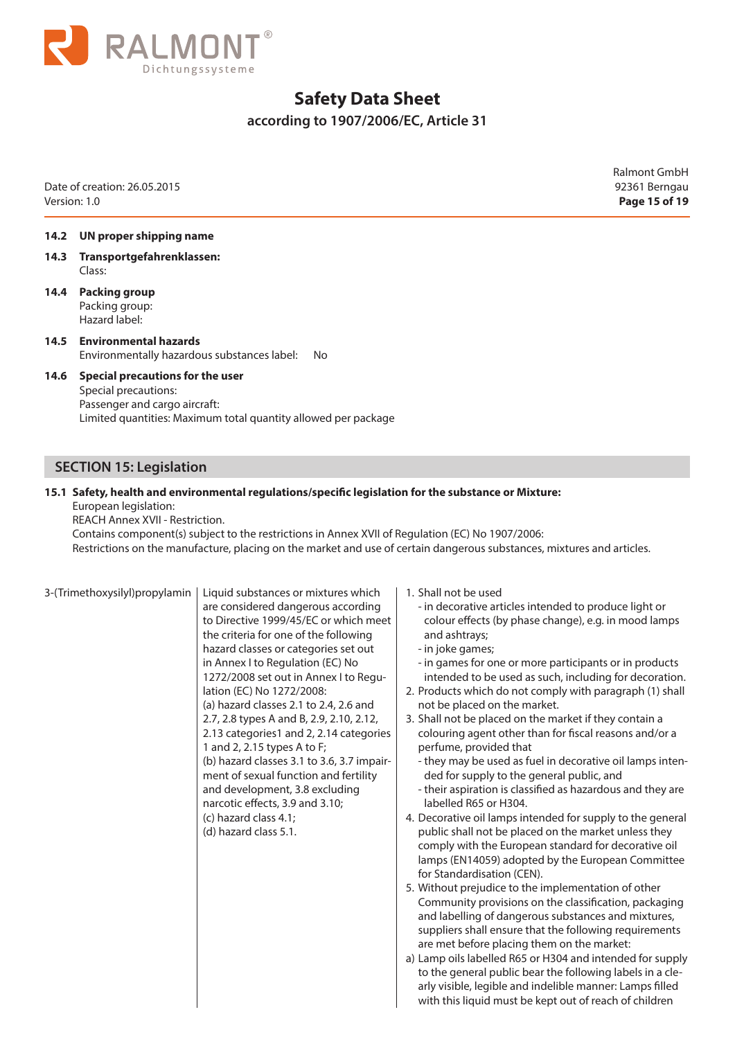

**according to 1907/2006/EC, Article 31** 

Date of creation: 26.05.2015 92361 Berngau Version: 1.0 **Page 15 of 19**

Ralmont GmbH

#### **14.2 UN proper shipping name**

- **14.3 Transportgefahrenklassen:** Class:
- **14.4 Packing group** Packing group: Hazard label:

**14.5 Environmental hazards** Environmentally hazardous substances label: No

#### **14.6 Special precautions for the user** Special precautions: Passenger and cargo aircraft: Limited quantities: Maximum total quantity allowed per package

### **SECTION 15: Legislation**

#### **15.1 Safety, health and environmental regulations/specific legislation for the substance or Mixture:**  European legislation:

REACH Annex XVII - Restriction.

Contains component(s) subject to the restrictions in Annex XVII of Regulation (EC) No 1907/2006: Restrictions on the manufacture, placing on the market and use of certain dangerous substances, mixtures and articles.

Liquid substances or mixtures which are considered dangerous according to Directive 1999/45/EC or which meet the criteria for one of the following hazard classes or categories set out in Annex I to Regulation (EC) No 1272/2008 set out in Annex I to Regulation (EC) No 1272/2008: (a) hazard classes 2.1 to 2.4, 2.6 and 2.7, 2.8 types A and B, 2.9, 2.10, 2.12, 2.13 categories1 and 2, 2.14 categories 1 and 2, 2.15 types A to F; (b) hazard classes 3.1 to 3.6, 3.7 impairment of sexual function and fertility and development, 3.8 excluding narcotic effects, 3.9 and 3.10; (c) hazard class 4.1; (d) hazard class 5.1.

- 1. Shall not be used
	- in decorative articles intended to produce light or colour effects (by phase change), e.g. in mood lamps and ashtrays;
	- in joke games;
	- in games for one or more participants or in products intended to be used as such, including for decoration.
- 2. Products which do not comply with paragraph (1) shall not be placed on the market.
- 3. Shall not be placed on the market if they contain a colouring agent other than for fiscal reasons and/or a perfume, provided that
	- they may be used as fuel in decorative oil lamps intended for supply to the general public, and
	- their aspiration is classified as hazardous and they are labelled R65 or H304.
- 4. Decorative oil lamps intended for supply to the general public shall not be placed on the market unless they comply with the European standard for decorative oil lamps (EN14059) adopted by the European Committee for Standardisation (CEN).
- 5. Without prejudice to the implementation of other Community provisions on the classification, packaging and labelling of dangerous substances and mixtures, suppliers shall ensure that the following requirements are met before placing them on the market:
- a) Lamp oils labelled R65 or H304 and intended for supply to the general public bear the following labels in a clearly visible, legible and indelible manner: Lamps filled with this liquid must be kept out of reach of children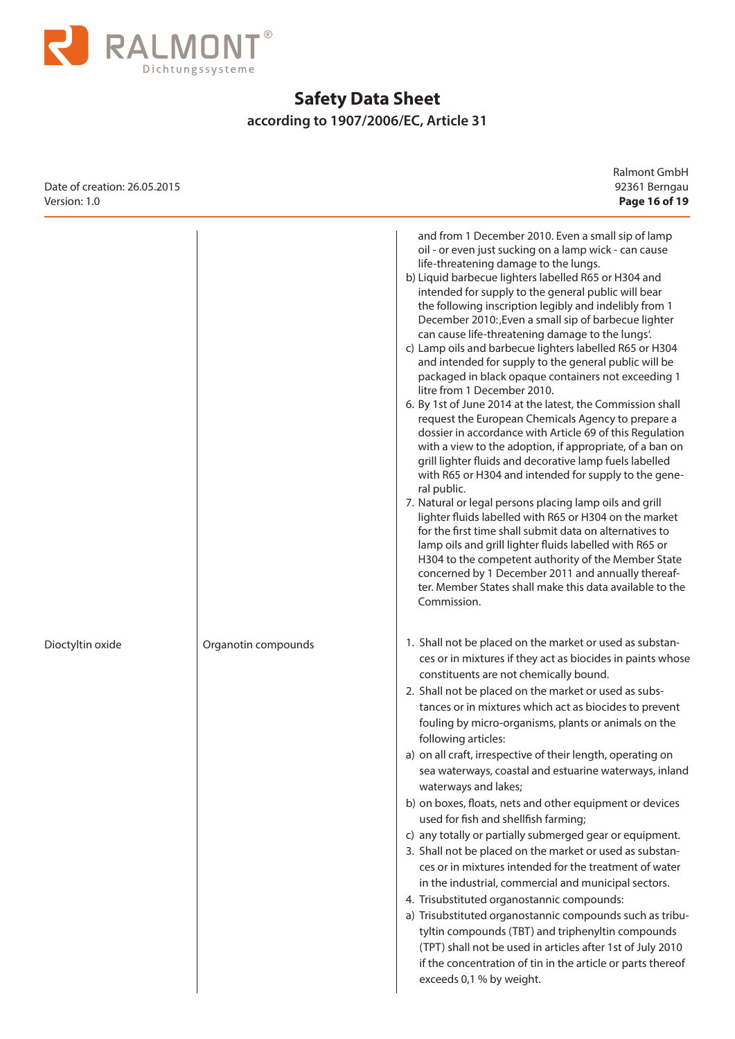

## **according to 1907/2006/EC, Article 31**

| Date of creation: 26.05.2015<br>Version: 1.0 |                     | Ralmont GmbH<br>92361 Berngau<br>Page 16 of 19                                                                                                                                                                                                                                                                                                                                                                                                                                                                                                                                                                                                                                                                                                                                                                                                                                                                                                                                                                                                                                                                                                                                                                                                                                                                                                                                                                                                                       |
|----------------------------------------------|---------------------|----------------------------------------------------------------------------------------------------------------------------------------------------------------------------------------------------------------------------------------------------------------------------------------------------------------------------------------------------------------------------------------------------------------------------------------------------------------------------------------------------------------------------------------------------------------------------------------------------------------------------------------------------------------------------------------------------------------------------------------------------------------------------------------------------------------------------------------------------------------------------------------------------------------------------------------------------------------------------------------------------------------------------------------------------------------------------------------------------------------------------------------------------------------------------------------------------------------------------------------------------------------------------------------------------------------------------------------------------------------------------------------------------------------------------------------------------------------------|
|                                              |                     | and from 1 December 2010. Even a small sip of lamp<br>oil - or even just sucking on a lamp wick - can cause<br>life-threatening damage to the lungs.<br>b) Liquid barbecue lighters labelled R65 or H304 and<br>intended for supply to the general public will bear<br>the following inscription legibly and indelibly from 1<br>December 2010: Even a small sip of barbecue lighter<br>can cause life-threatening damage to the lungs'.<br>c) Lamp oils and barbecue lighters labelled R65 or H304<br>and intended for supply to the general public will be<br>packaged in black opaque containers not exceeding 1<br>litre from 1 December 2010.<br>6. By 1st of June 2014 at the latest, the Commission shall<br>request the European Chemicals Agency to prepare a<br>dossier in accordance with Article 69 of this Regulation<br>with a view to the adoption, if appropriate, of a ban on<br>grill lighter fluids and decorative lamp fuels labelled<br>with R65 or H304 and intended for supply to the gene-<br>ral public.<br>7. Natural or legal persons placing lamp oils and grill<br>lighter fluids labelled with R65 or H304 on the market<br>for the first time shall submit data on alternatives to<br>lamp oils and grill lighter fluids labelled with R65 or<br>H304 to the competent authority of the Member State<br>concerned by 1 December 2011 and annually thereaf-<br>ter. Member States shall make this data available to the<br>Commission. |
| Dioctyltin oxide                             | Organotin compounds | 1. Shall not be placed on the market or used as substan-<br>ces or in mixtures if they act as biocides in paints whose<br>constituents are not chemically bound.<br>2. Shall not be placed on the market or used as subs-<br>tances or in mixtures which act as biocides to prevent<br>fouling by micro-organisms, plants or animals on the<br>following articles:<br>a) on all craft, irrespective of their length, operating on<br>sea waterways, coastal and estuarine waterways, inland<br>waterways and lakes;<br>b) on boxes, floats, nets and other equipment or devices<br>used for fish and shellfish farming;<br>c) any totally or partially submerged gear or equipment.<br>3. Shall not be placed on the market or used as substan-<br>ces or in mixtures intended for the treatment of water<br>in the industrial, commercial and municipal sectors.<br>4. Trisubstituted organostannic compounds:<br>a) Trisubstituted organostannic compounds such as tribu-<br>tyltin compounds (TBT) and triphenyltin compounds<br>(TPT) shall not be used in articles after 1st of July 2010<br>if the concentration of tin in the article or parts thereof<br>exceeds 0,1 % by weight.                                                                                                                                                                                                                                                                            |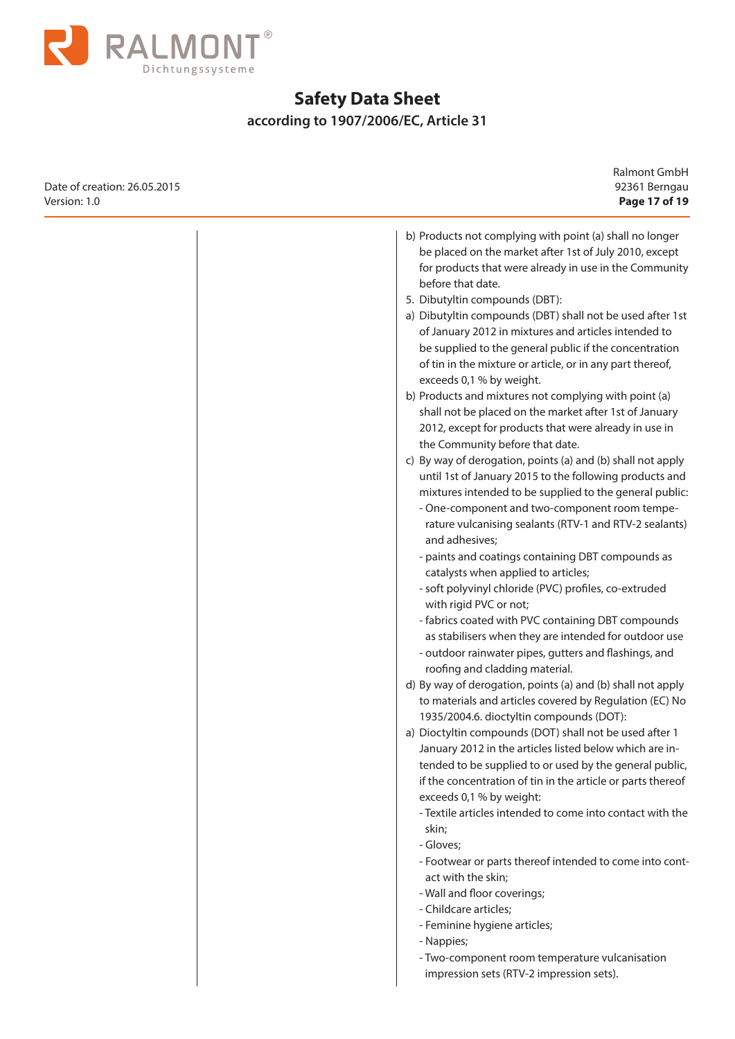

 $\overline{\phantom{a}}$ 

# **Safety Data Sheet**

## **according to 1907/2006/EC, Article 31**

Ralmont GmbH

| 92361 Berngau<br>Page 17 of 19                                                                                                                                                                                                                                                                                                                                                                                                                                                                                                                                                                                                                                                                                                                                                                                                                                                                                                                                                                                                                                                                                                                                                                                                                                                                                                                                                                                                                                                                                                                                                                                                                                                                                                                                                                                                                                                                                                                                                                                                                              | Date of creation: 26.05.2015<br>Version: 1.0 |
|-------------------------------------------------------------------------------------------------------------------------------------------------------------------------------------------------------------------------------------------------------------------------------------------------------------------------------------------------------------------------------------------------------------------------------------------------------------------------------------------------------------------------------------------------------------------------------------------------------------------------------------------------------------------------------------------------------------------------------------------------------------------------------------------------------------------------------------------------------------------------------------------------------------------------------------------------------------------------------------------------------------------------------------------------------------------------------------------------------------------------------------------------------------------------------------------------------------------------------------------------------------------------------------------------------------------------------------------------------------------------------------------------------------------------------------------------------------------------------------------------------------------------------------------------------------------------------------------------------------------------------------------------------------------------------------------------------------------------------------------------------------------------------------------------------------------------------------------------------------------------------------------------------------------------------------------------------------------------------------------------------------------------------------------------------------|----------------------------------------------|
| b) Products not complying with point (a) shall no longer<br>be placed on the market after 1st of July 2010, except<br>for products that were already in use in the Community<br>before that date.<br>5. Dibutyltin compounds (DBT):<br>a) Dibutyltin compounds (DBT) shall not be used after 1st<br>of January 2012 in mixtures and articles intended to<br>be supplied to the general public if the concentration<br>of tin in the mixture or article, or in any part thereof,<br>exceeds 0,1 % by weight.<br>b) Products and mixtures not complying with point (a)<br>shall not be placed on the market after 1st of January<br>2012, except for products that were already in use in<br>the Community before that date.<br>c) By way of derogation, points (a) and (b) shall not apply<br>until 1st of January 2015 to the following products and<br>mixtures intended to be supplied to the general public:<br>- One-component and two-component room tempe-<br>rature vulcanising sealants (RTV-1 and RTV-2 sealants)<br>and adhesives;<br>- paints and coatings containing DBT compounds as<br>catalysts when applied to articles;<br>- soft polyvinyl chloride (PVC) profiles, co-extruded<br>with rigid PVC or not;<br>- fabrics coated with PVC containing DBT compounds<br>as stabilisers when they are intended for outdoor use<br>- outdoor rainwater pipes, gutters and flashings, and<br>roofing and cladding material.<br>d) By way of derogation, points (a) and (b) shall not apply<br>to materials and articles covered by Regulation (EC) No<br>1935/2004.6. dioctyltin compounds (DOT):<br>a) Dioctyltin compounds (DOT) shall not be used after 1<br>January 2012 in the articles listed below which are in-<br>tended to be supplied to or used by the general public,<br>if the concentration of tin in the article or parts thereof<br>exceeds 0,1 % by weight:<br>- Textile articles intended to come into contact with the<br>skin;<br>- Gloves;<br>- Footwear or parts thereof intended to come into cont-<br>act with the skin; |                                              |
| - Wall and floor coverings;<br>- Childcare articles;<br>- Feminine hygiene articles;<br>- Nappies;<br>- Two-component room temperature vulcanisation<br>impression sets (RTV-2 impression sets).                                                                                                                                                                                                                                                                                                                                                                                                                                                                                                                                                                                                                                                                                                                                                                                                                                                                                                                                                                                                                                                                                                                                                                                                                                                                                                                                                                                                                                                                                                                                                                                                                                                                                                                                                                                                                                                            |                                              |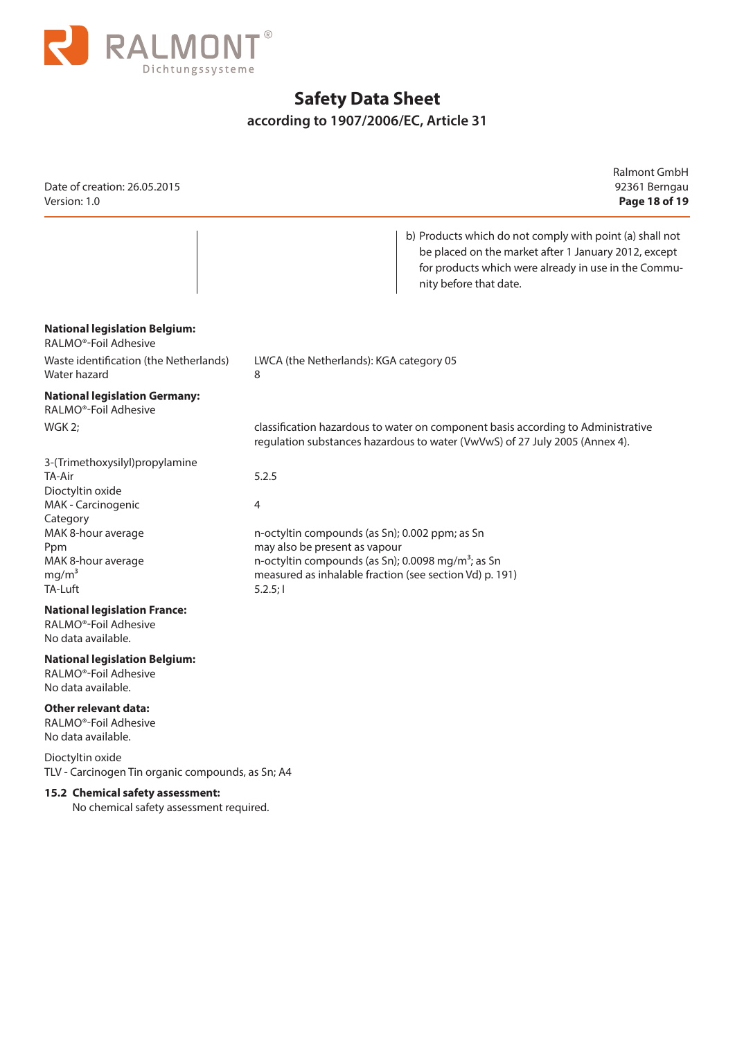

## **according to 1907/2006/EC, Article 31**

| Date of creation: 26.05.2015<br>Version: 1.0                                                                                                                                      | Ralmont GmbH<br>92361 Berngau<br>Page 18 of 19                                                                                                                                                                                       |
|-----------------------------------------------------------------------------------------------------------------------------------------------------------------------------------|--------------------------------------------------------------------------------------------------------------------------------------------------------------------------------------------------------------------------------------|
|                                                                                                                                                                                   | b) Products which do not comply with point (a) shall not<br>be placed on the market after 1 January 2012, except<br>for products which were already in use in the Commu-<br>nity before that date.                                   |
| <b>National legislation Belgium:</b><br>RALMO <sup>®</sup> -Foil Adhesive                                                                                                         |                                                                                                                                                                                                                                      |
| Waste identification (the Netherlands)<br>Water hazard                                                                                                                            | LWCA (the Netherlands): KGA category 05<br>8                                                                                                                                                                                         |
| <b>National legislation Germany:</b><br>RALMO <sup>®</sup> -Foil Adhesive                                                                                                         |                                                                                                                                                                                                                                      |
| WGK 2;                                                                                                                                                                            | classification hazardous to water on component basis according to Administrative<br>regulation substances hazardous to water (VwVwS) of 27 July 2005 (Annex 4).                                                                      |
| 3-(Trimethoxysilyl)propylamine<br>TA-Air<br>Dioctyltin oxide<br>MAK - Carcinogenic<br>Category<br>MAK 8-hour average<br>Ppm<br>MAK 8-hour average<br>mg/m <sup>3</sup><br>TA-Luft | 5.2.5<br>4<br>n-octyltin compounds (as Sn); 0.002 ppm; as Sn<br>may also be present as vapour<br>n-octyltin compounds (as Sn); 0.0098 mg/m <sup>3</sup> ; as Sn<br>measured as inhalable fraction (see section Vd) p. 191)<br>5.2.5; |
| <b>National legislation France:</b><br>RALMO <sup>®</sup> -Foil Adhesive<br>No data available.                                                                                    |                                                                                                                                                                                                                                      |
| <b>National legislation Belgium:</b><br>RALMO <sup>®</sup> -Foil Adhesive<br>No data available.                                                                                   |                                                                                                                                                                                                                                      |
| <b>Other relevant data:</b><br>RALMO <sup>®</sup> -Foil Adhesive<br>No data available.                                                                                            |                                                                                                                                                                                                                                      |
| Dioctyltin oxide<br>TLV - Carcinogen Tin organic compounds, as Sn; A4                                                                                                             |                                                                                                                                                                                                                                      |

#### **15.2 Chemical safety assessment:**

No chemical safety assessment required.